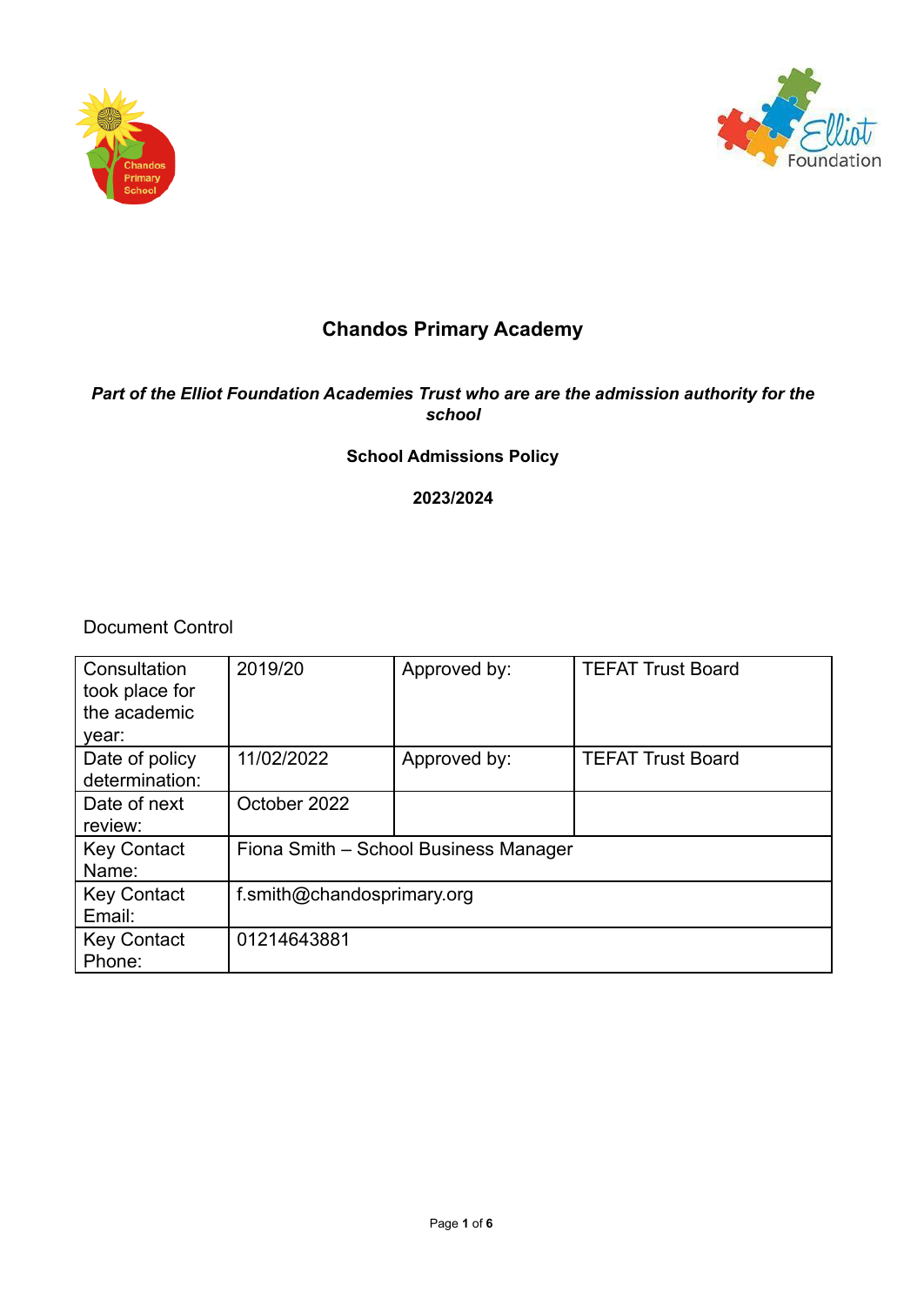



# **Chandos Primary Academy**

# *Part of the Elliot Foundation Academies Trust who are are the admission authority for the school*

# **School Admissions Policy**

# **2023/2024**

Document Control

| Consultation<br>took place for<br>the academic<br>year: | 2019/20                               | Approved by: | <b>TEFAT Trust Board</b> |
|---------------------------------------------------------|---------------------------------------|--------------|--------------------------|
| Date of policy<br>determination:                        | 11/02/2022                            | Approved by: | <b>TEFAT Trust Board</b> |
| Date of next<br>review:                                 | October 2022                          |              |                          |
| <b>Key Contact</b><br>Name:                             | Fiona Smith - School Business Manager |              |                          |
| <b>Key Contact</b><br>Email:                            | f.smith@chandosprimary.org            |              |                          |
| <b>Key Contact</b><br>Phone:                            | 01214643881                           |              |                          |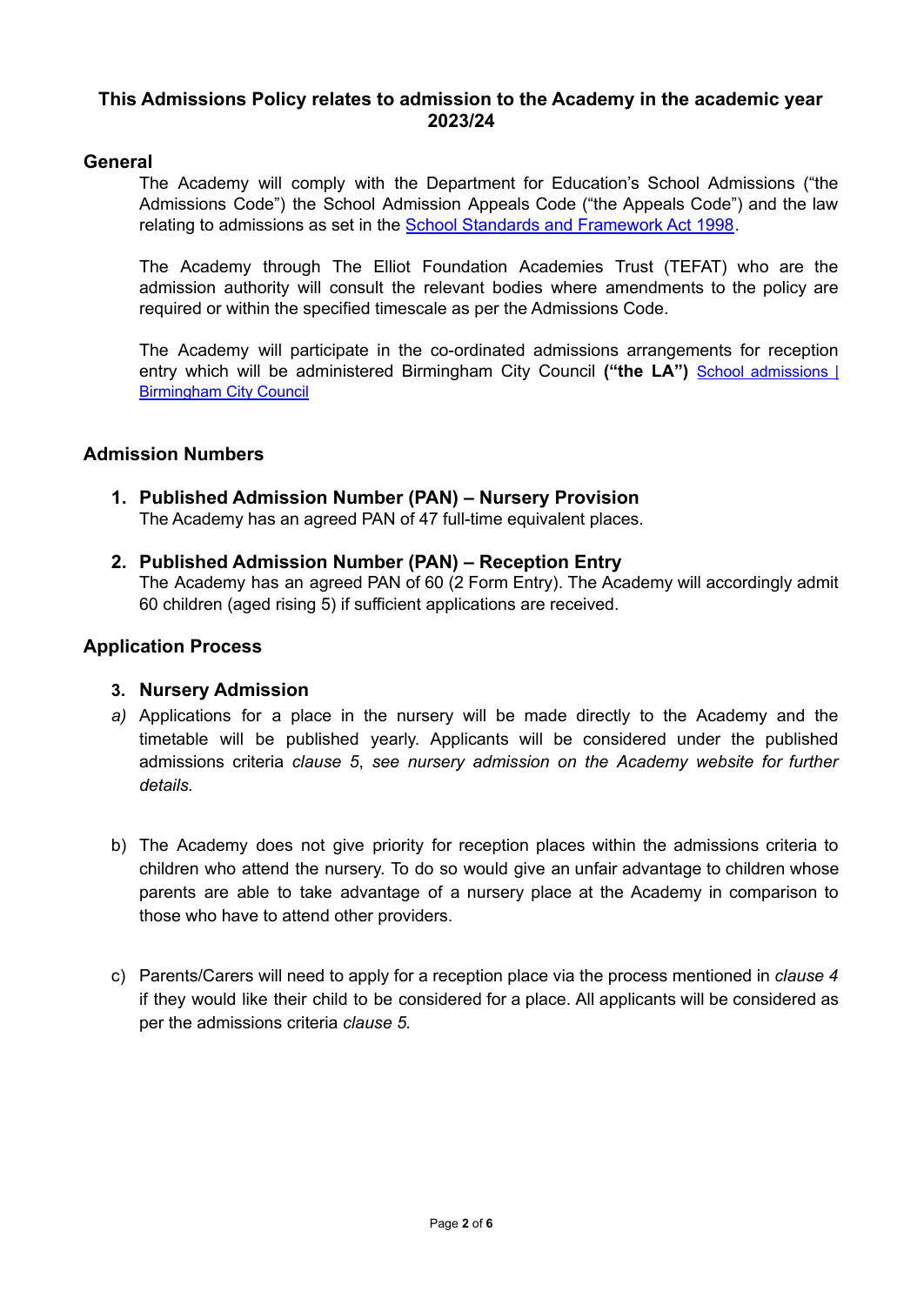# **This Admissions Policy relates to admission to the Academy in the academic year 2023/24**

# **General**

The Academy will comply with the Department for Education's School Admissions ("the Admissions Code") the School Admission Appeals Code ("the Appeals Code") and the law relating to admissions as set in the School Standards and [Framework](https://www.legislation.gov.uk/ukpga/1998/31/contents) Act 1998.

The Academy through The Elliot Foundation Academies Trust (TEFAT) who are the admission authority will consult the relevant bodies where amendments to the policy are required or within the specified timescale as per the Admissions Code.

The Academy will participate in the co-ordinated admissions arrangements for reception entry which will be administered Birmingham City Council **("the LA")** School [admissions](https://www.birmingham.gov.uk/schooladmissions) | [Birmingham](https://www.birmingham.gov.uk/schooladmissions) City Council

# **Admission Numbers**

- **1. Published Admission Number (PAN) Nursery Provision** The Academy has an agreed PAN of 47 full-time equivalent places.
- **2. Published Admission Number (PAN) Reception Entry** The Academy has an agreed PAN of 60 (2 Form Entry). The Academy will accordingly admit 60 children (aged rising 5) if sufficient applications are received.

# **Application Process**

# **3. Nursery Admission**

- *a)* Applications for a place in the nursery will be made directly to the Academy and the timetable will be published yearly. Applicants will be considered under the published admissions criteria *clause 5*, *see nursery admission on the Academy website for further details.*
- b) The Academy does not give priority for reception places within the admissions criteria to children who attend the nursery. To do so would give an unfair advantage to children whose parents are able to take advantage of a nursery place at the Academy in comparison to those who have to attend other providers.
- c) Parents/Carers will need to apply for a reception place via the process mentioned in *clause 4* if they would like their child to be considered for a place. All applicants will be considered as per the admissions criteria *clause 5.*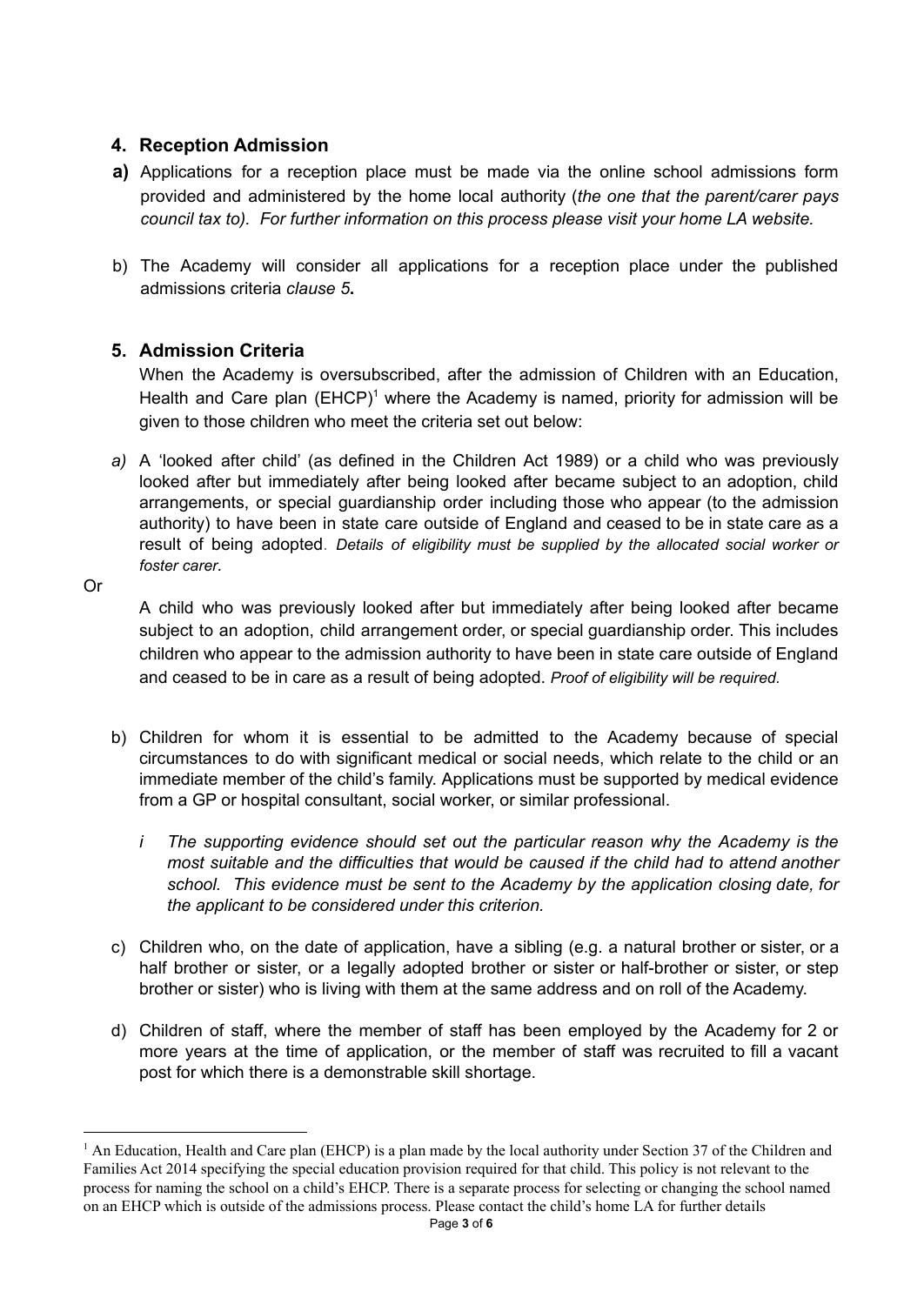# **4. Reception Admission**

- **a)** Applications for a reception place must be made via the online school admissions form provided and administered by the home local authority (*the one that the parent/carer pays council tax to). For further information on this process please visit your home LA website.*
- b) The Academy will consider all applications for a reception place under the published admissions criteria *clause 5***.**

# **5. Admission Criteria**

When the Academy is oversubscribed, after the admission of Children with an Education, Health and Care plan  $(EHCP)^1$  where the Academy is named, priority for admission will be given to those children who meet the criteria set out below:

*a)* A 'looked after child' (as defined in the Children Act 1989) or a child who was previously looked after but immediately after being looked after became subject to an adoption, child arrangements, or special guardianship order including those who appear (to the admission authority) to have been in state care outside of England and ceased to be in state care as a result of being adopted. *Details of eligibility must be supplied by the allocated social worker or foster carer.*

Or

A child who was previously looked after but immediately after being looked after became subject to an adoption, child arrangement order, or special guardianship order. This includes children who appear to the admission authority to have been in state care outside of England and ceased to be in care as a result of being adopted. *Proof of eligibility will be required.*

- b) Children for whom it is essential to be admitted to the Academy because of special circumstances to do with significant medical or social needs, which relate to the child or an immediate member of the child's family. Applications must be supported by medical evidence from a GP or hospital consultant, social worker, or similar professional.
	- *i The supporting evidence should set out the particular reason why the Academy is the most suitable and the difficulties that would be caused if the child had to attend another school. This evidence must be sent to the Academy by the application closing date, for the applicant to be considered under this criterion.*
- c) Children who, on the date of application, have a sibling (e.g. a natural brother or sister, or a half brother or sister, or a legally adopted brother or sister or half-brother or sister, or step brother or sister) who is living with them at the same address and on roll of the Academy.
- d) Children of staff, where the member of staff has been employed by the Academy for 2 or more years at the time of application, or the member of staff was recruited to fill a vacant post for which there is a demonstrable skill shortage.

<sup>&</sup>lt;sup>1</sup> An Education, Health and Care plan (EHCP) is a plan made by the local authority under Section 37 of the Children and Families Act 2014 specifying the special education provision required for that child. This policy is not relevant to the process for naming the school on a child's EHCP. There is a separate process for selecting or changing the school named on an EHCP which is outside of the admissions process. Please contact the child's home LA for further details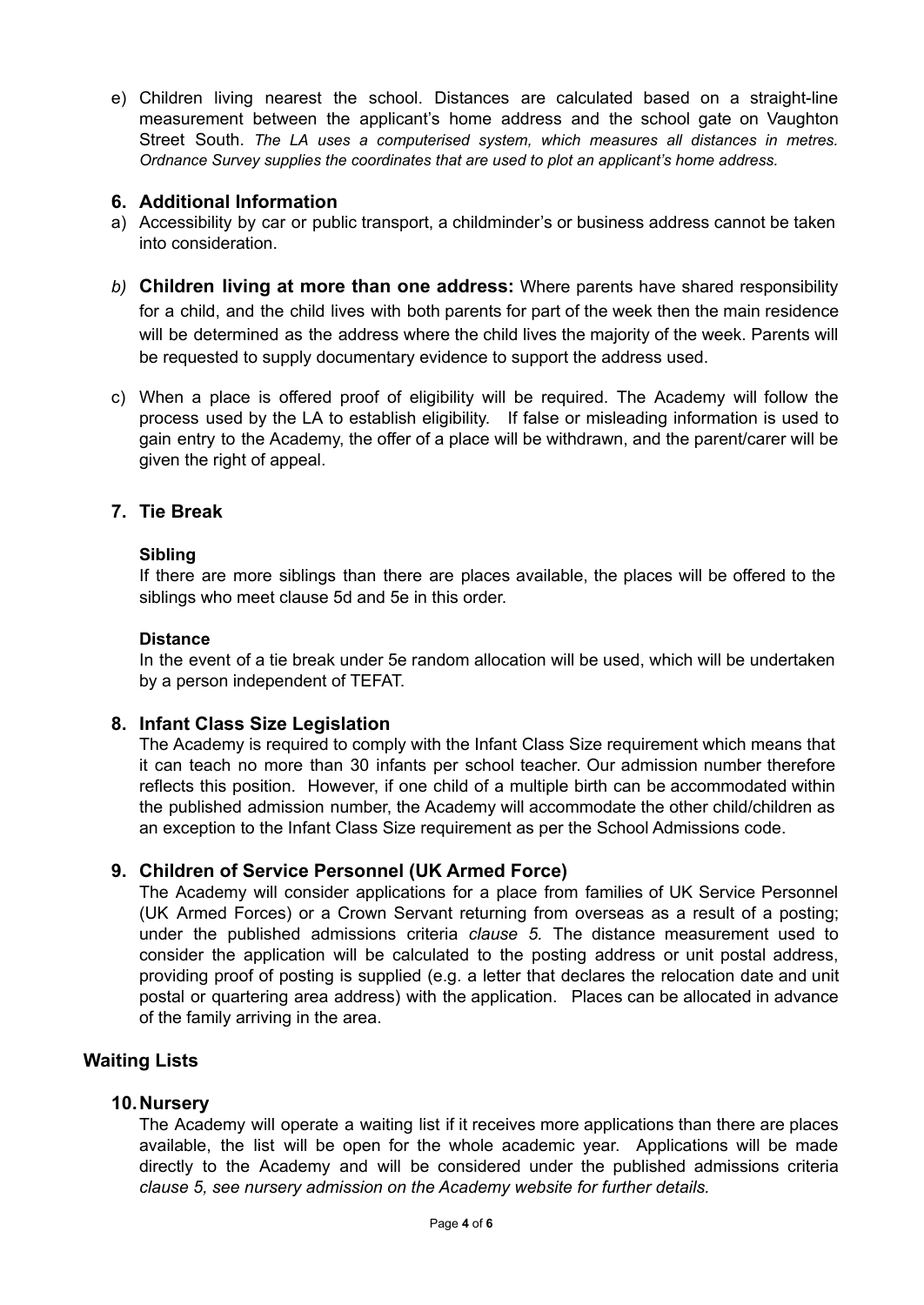e) Children living nearest the school. Distances are calculated based on a straight-line measurement between the applicant's home address and the school gate on Vaughton Street South. *The LA uses a computerised system, which measures all distances in metres. Ordnance Survey supplies the coordinates that are used to plot an applicant's home address.*

# **6. Additional Information**

- a) Accessibility by car or public transport, a childminder's or business address cannot be taken into consideration.
- *b)* **Children living at more than one address:** Where parents have shared responsibility for a child, and the child lives with both parents for part of the week then the main residence will be determined as the address where the child lives the majority of the week. Parents will be requested to supply documentary evidence to support the address used.
- c) When a place is offered proof of eligibility will be required. The Academy will follow the process used by the LA to establish eligibility. If false or misleading information is used to gain entry to the Academy, the offer of a place will be withdrawn, and the parent/carer will be given the right of appeal.

# **7. Tie Break**

#### **Sibling**

If there are more siblings than there are places available, the places will be offered to the siblings who meet clause 5d and 5e in this order.

#### **Distance**

In the event of a tie break under 5e random allocation will be used, which will be undertaken by a person independent of TEFAT.

# **8. Infant Class Size Legislation**

The Academy is required to comply with the Infant Class Size requirement which means that it can teach no more than 30 infants per school teacher. Our admission number therefore reflects this position. However, if one child of a multiple birth can be accommodated within the published admission number, the Academy will accommodate the other child/children as an exception to the Infant Class Size requirement as per the School Admissions code.

# **9. Children of Service Personnel (UK Armed Force)**

The Academy will consider applications for a place from families of UK Service Personnel (UK Armed Forces) or a Crown Servant returning from overseas as a result of a posting; under the published admissions criteria *clause 5.* The distance measurement used to consider the application will be calculated to the posting address or unit postal address, providing proof of posting is supplied (e.g. a letter that declares the relocation date and unit postal or quartering area address) with the application. Places can be allocated in advance of the family arriving in the area.

# **Waiting Lists**

#### **10.Nursery**

The Academy will operate a waiting list if it receives more applications than there are places available, the list will be open for the whole academic year. Applications will be made directly to the Academy and will be considered under the published admissions criteria *clause 5, see nursery admission on the Academy website for further details.*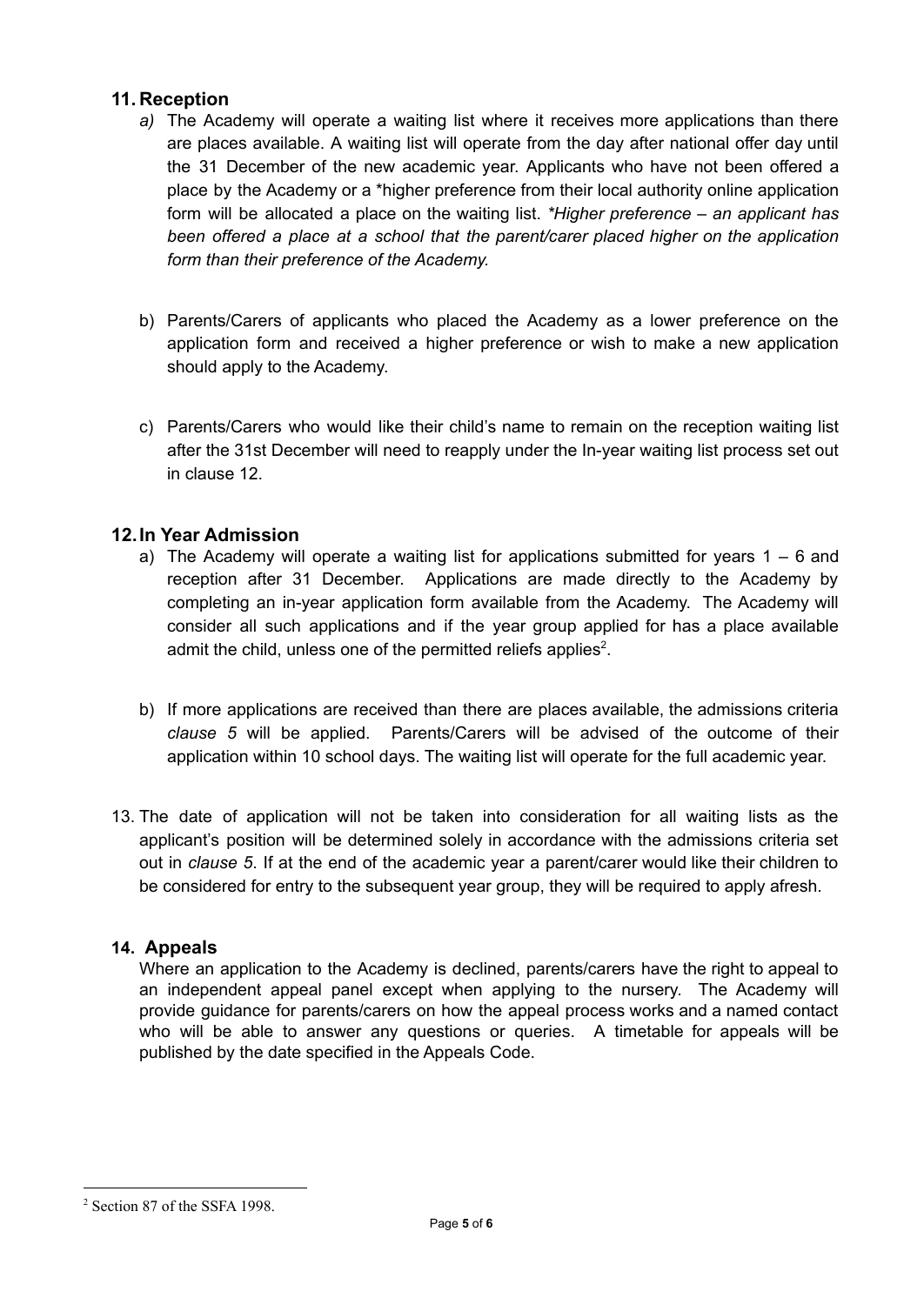# **11. Reception**

- *a)* The Academy will operate a waiting list where it receives more applications than there are places available. A waiting list will operate from the day after national offer day until the 31 December of the new academic year. Applicants who have not been offered a place by the Academy or a \*higher preference from their local authority online application form will be allocated a place on the waiting list. *\*Higher preference – an applicant has been offered a place at a school that the parent/carer placed higher on the application form than their preference of the Academy.*
- b) Parents/Carers of applicants who placed the Academy as a lower preference on the application form and received a higher preference or wish to make a new application should apply to the Academy.
- c) Parents/Carers who would like their child's name to remain on the reception waiting list after the 31st December will need to reapply under the In-year waiting list process set out in clause 12.

# **12.In Year Admission**

- a) The Academy will operate a waiting list for applications submitted for years  $1 6$  and reception after 31 December. Applications are made directly to the Academy by completing an in-year application form available from the Academy. The Academy will consider all such applications and if the year group applied for has a place available admit the child, unless one of the permitted reliefs applies<sup>2</sup>.
- b) If more applications are received than there are places available, the admissions criteria *clause 5* will be applied. Parents/Carers will be advised of the outcome of their application within 10 school days. The waiting list will operate for the full academic year.
- 13. The date of application will not be taken into consideration for all waiting lists as the applicant's position will be determined solely in accordance with the admissions criteria set out in *clause 5*. If at the end of the academic year a parent/carer would like their children to be considered for entry to the subsequent year group, they will be required to apply afresh.

# **14. Appeals**

Where an application to the Academy is declined, parents/carers have the right to appeal to an independent appeal panel except when applying to the nursery. The Academy will provide guidance for parents/carers on how the appeal process works and a named contact who will be able to answer any questions or queries. A timetable for appeals will be published by the date specified in the Appeals Code.

<sup>2</sup> Section 87 of the SSFA 1998.